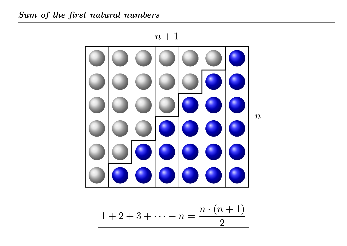

$$
1+2+3+\cdots+n=\frac{n\cdot(n+1)}{2}
$$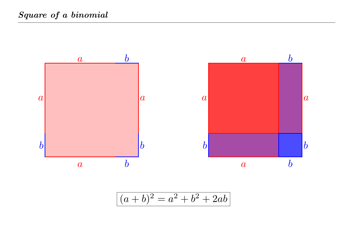

$$
(a+b)^2 = a^2 + b^2 + 2ab
$$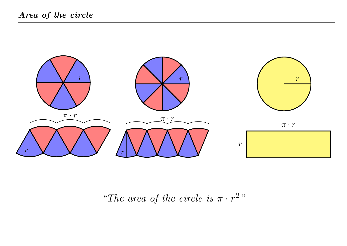

*"The area of the circle is*  $\pi \cdot r^2$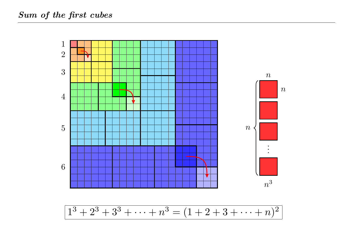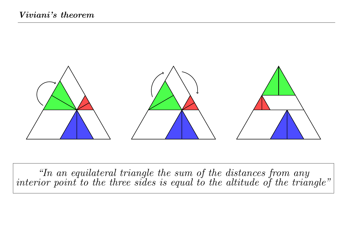

*"In an equilateral triangle the sum of the distances from any*  $\emph{interior point to the three sides is equal to the altitude of the triangle}\emph{''}$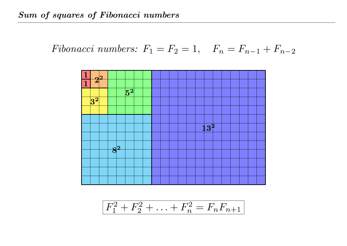Fibonacci numbers: 
$$
F_1 = F_2 = 1
$$
,  $F_n = F_{n-1} + F_{n-2}$ 



 $F^2$  $F_1^2+F_2^2$  $F_2^2+\ldots+F_n^2$  $F_n^2 = F_n F_{n+1}$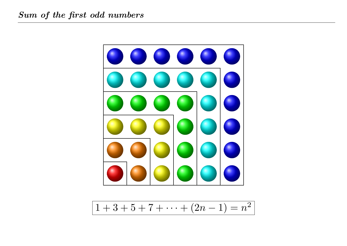

 $1+3+5+7+\cdots+(2n-1)=n^2$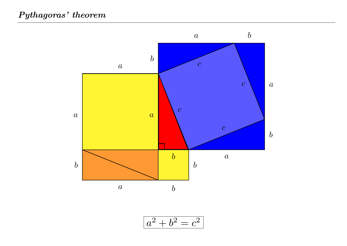

$$
a^2 + b^2 = c^2
$$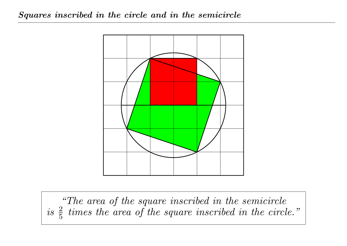

*"The area of the square inscribed in the semicircle*  $is \frac{2}{5}$  *times the area of the square inscribed in the circle."*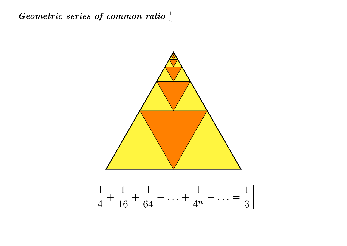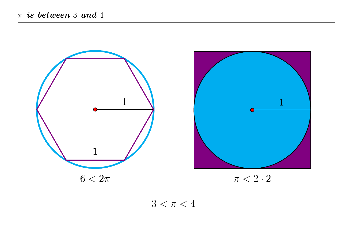



 $\pi < 2 \cdot 2$ 

 $3 < \pi < 4$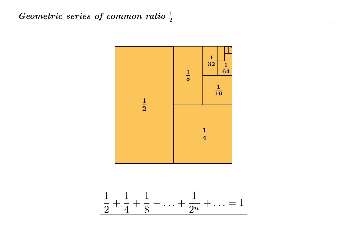

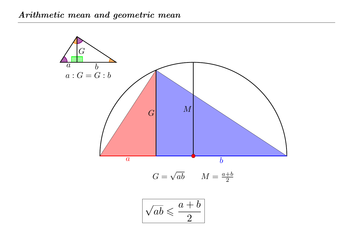